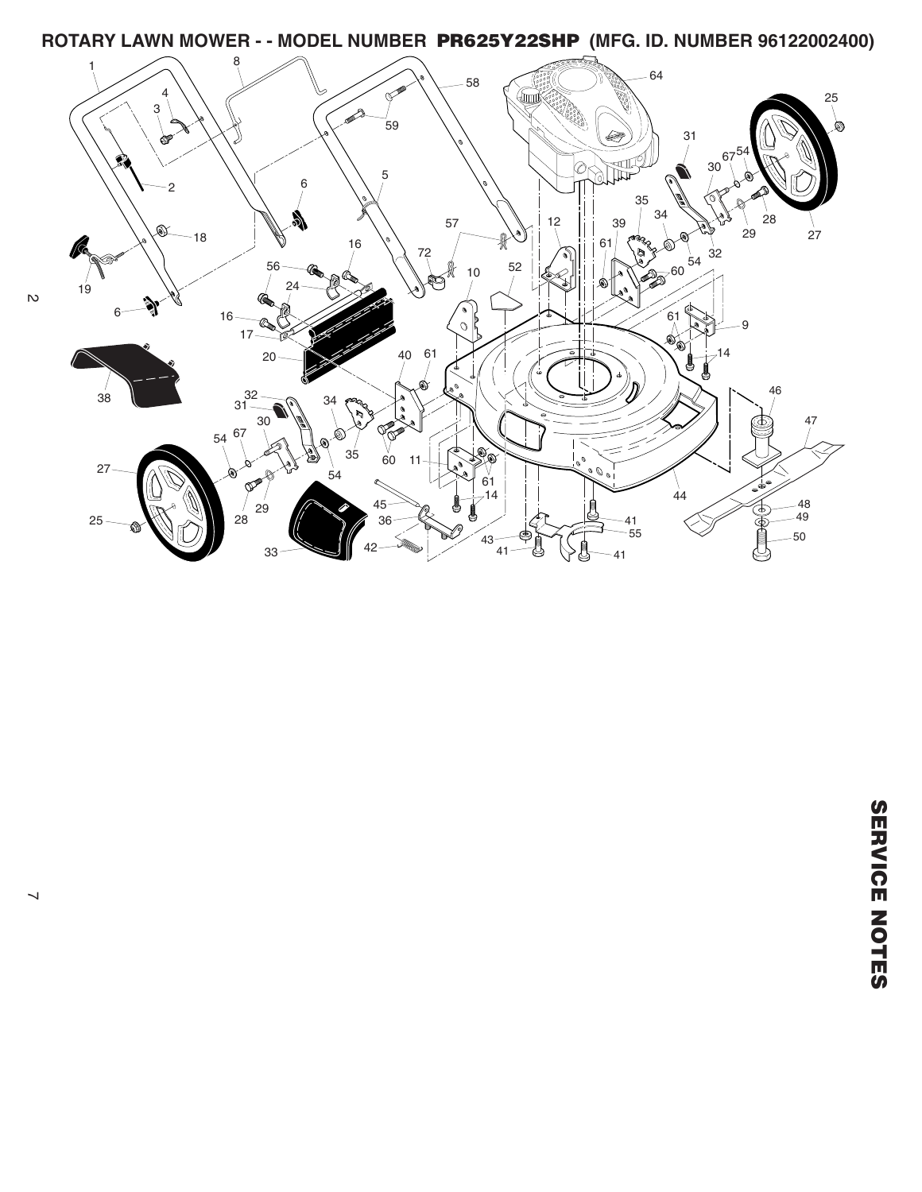**ROTARY LAWN MOWER - - MODEL NUMBER PR625Y22SHP (MFG. ID. NUMBER 96122002400)**

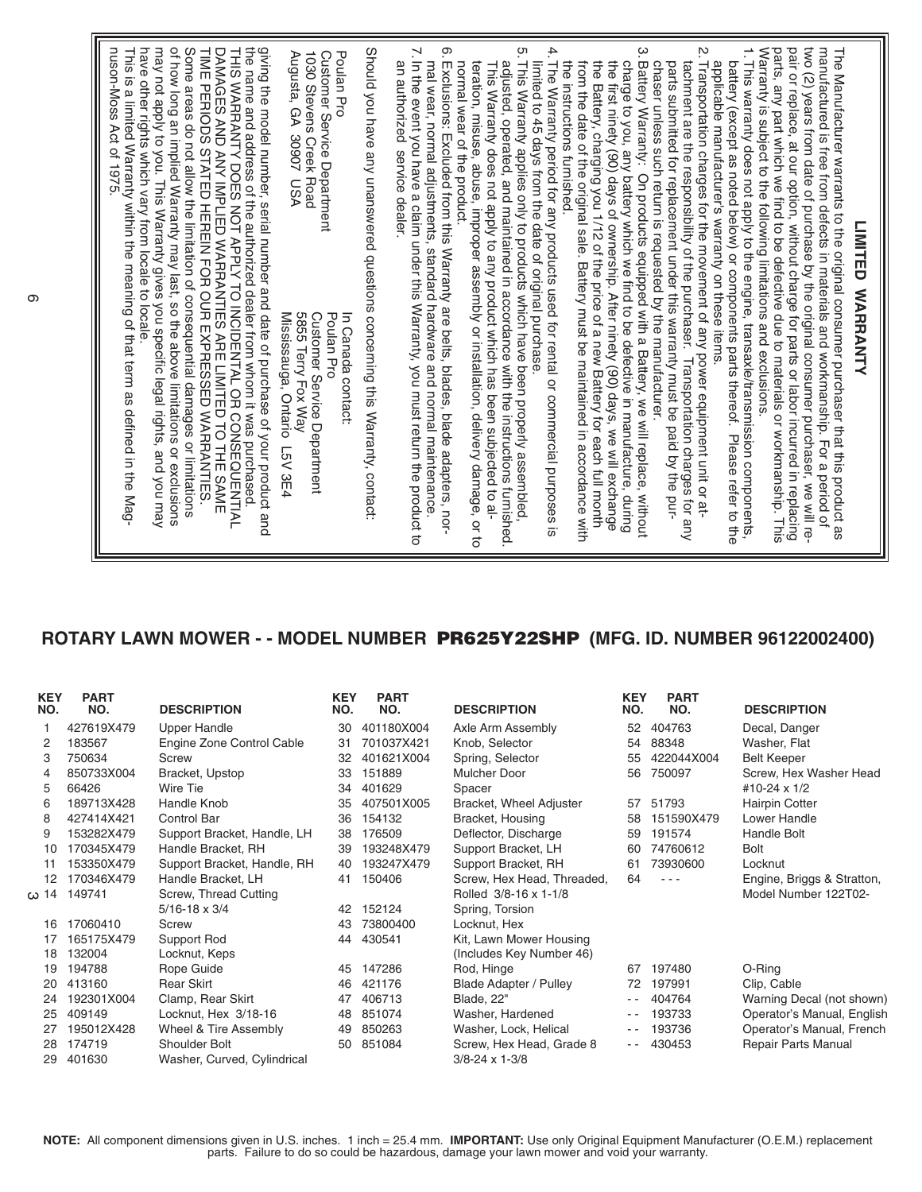## **ROTARY LAWN MOWER - - MODEL NUMBER PR625Y22SHP (MFG. ID. NUMBER 96122002400)**

| <b>KEY</b><br>NO. | <b>PART</b><br>NO. | <b>DESCRIPTION</b>          | <b>KEY</b><br>NO. | <b>PART</b><br>NO. | <b>DESCRIPTION</b>            | <b>KEY</b><br>NO. | <b>PART</b><br>NO. | <b>DESCRIPTION</b>         |
|-------------------|--------------------|-----------------------------|-------------------|--------------------|-------------------------------|-------------------|--------------------|----------------------------|
|                   | 427619X479         | <b>Upper Handle</b>         | 30                | 401180X004         | Axle Arm Assembly             | 52                | 404763             | Decal, Danger              |
| 2                 | 183567             | Engine Zone Control Cable   | 31                | 701037X421         | Knob, Selector                | 54                | 88348              | Washer, Flat               |
| 3                 | 750634             | Screw                       | 32                | 401621X004         | Spring, Selector              | 55                | 422044X004         | <b>Belt Keeper</b>         |
| 4                 | 850733X004         | Bracket, Upstop             | 33                | 151889             | <b>Mulcher Door</b>           | 56                | 750097             | Screw, Hex Washer Head     |
| 5                 | 66426              | Wire Tie                    | 34                | 401629             | Spacer                        |                   |                    | #10-24 x 1/2               |
| 6                 | 189713X428         | Handle Knob                 | 35                | 407501X005         | Bracket, Wheel Adjuster       | 57                | 51793              | <b>Hairpin Cotter</b>      |
| 8                 | 427414X421         | Control Bar                 | 36                | 154132             | Bracket, Housing              | 58                | 151590X479         | Lower Handle               |
| 9                 | 153282X479         | Support Bracket, Handle, LH | 38                | 176509             | Deflector, Discharge          | 59                | 191574             | Handle Bolt                |
| 10                | 170345X479         | Handle Bracket, RH          | 39                | 193248X479         | Support Bracket, LH           | 60                | 74760612           | <b>Bolt</b>                |
| 11                | 153350X479         | Support Bracket, Handle, RH | 40                | 193247X479         | Support Bracket, RH           | 61                | 73930600           | Locknut                    |
| 12                | 170346X479         | Handle Bracket, LH          | 41                | 150406             | Screw, Hex Head, Threaded,    | 64                | $- - -$            | Engine, Briggs & Stratton, |
| 14 دە             | 149741             | Screw, Thread Cutting       |                   |                    | Rolled 3/8-16 x 1-1/8         |                   |                    | Model Number 122T02-       |
|                   |                    | $5/16 - 18 \times 3/4$      | 42                | 152124             | Spring, Torsion               |                   |                    |                            |
| 16                | 17060410           | Screw                       | 43                | 73800400           | Locknut, Hex                  |                   |                    |                            |
| 17                | 165175X479         | Support Rod                 | 44                | 430541             | Kit, Lawn Mower Housing       |                   |                    |                            |
| 18                | 132004             | Locknut, Keps               |                   |                    | (Includes Key Number 46)      |                   |                    |                            |
| 19                | 194788             | Rope Guide                  | 45                | 147286             | Rod, Hinge                    | 67                | 197480             | O-Ring                     |
| 20                | 413160             | <b>Rear Skirt</b>           | 46                | 421176             | <b>Blade Adapter / Pulley</b> | 72                | 197991             | Clip, Cable                |
| 24                | 192301X004         | Clamp, Rear Skirt           | 47                | 406713             | Blade, 22"                    | $ -$              | 404764             | Warning Decal (not shown)  |
| 25                | 409149             | Locknut, Hex 3/18-16        | 48                | 851074             | Washer, Hardened              | - -               | 193733             | Operator's Manual, English |
| 27                | 195012X428         | Wheel & Tire Assembly       | 49                | 850263             | Washer, Lock, Helical         | - -               | 193736             | Operator's Manual, French  |
| 28                | 174719             | Shoulder Bolt               | 50                | 851084             | Screw, Hex Head, Grade 8      | $ -$              | 430453             | Repair Parts Manual        |
| 29                | 401630             | Washer, Curved, Cylindrical |                   |                    | $3/8 - 24 \times 1 - 3/8$     |                   |                    |                            |

**NOTE:** All component dimensions given in U.S. inches. 1 inch = 25.4 mm. **IMPORTANT:** Use only Original Equipment Manufacturer (O.E.M.) replacement parts. Failure to do so could be hazardous, damage your lawn mower and void your warranty.